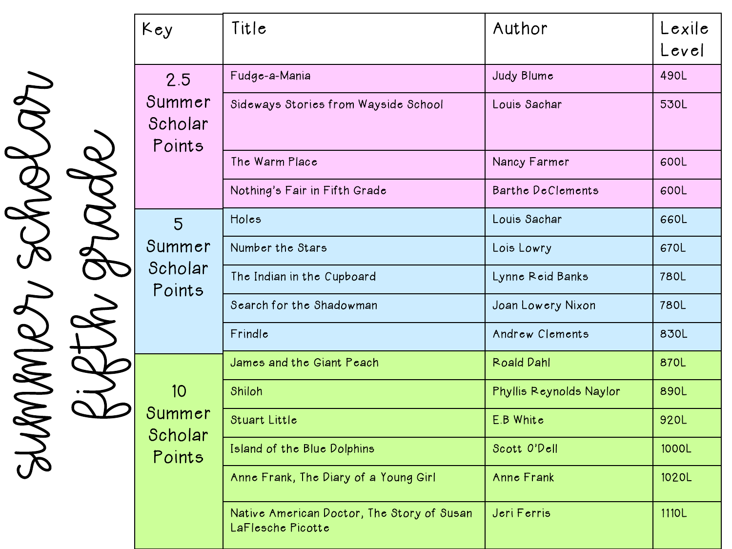| Key                                | Title                                                           | Author                   | Lexile<br>Level |
|------------------------------------|-----------------------------------------------------------------|--------------------------|-----------------|
| 2.5<br>Summer<br>Scholar<br>Points | Fudge-a-Mania                                                   | Judy Blume               | 490L            |
|                                    | Sideways Stories from Wayside School                            | Louis Sachar             | 530L            |
|                                    | The Warm Place                                                  | Nancy Farmer             | 600L            |
|                                    | Nothing's Fair in Fifth Grade                                   | <b>Barthe DeClements</b> | 600L            |
| 5<br>Summer<br>Scholar<br>Points   | Holes                                                           | Louis Sachar             | 660L            |
|                                    | Number the Stars                                                | Lois Lowry               | 670L            |
|                                    | The Indian in the Cupboard                                      | Lynne Reid Banks         | <b>780L</b>     |
|                                    | Search for the Shadowman                                        | Joan Lowery Nixon        | 780L            |
|                                    | Frindle                                                         | Andrew Clements          | 830L            |
|                                    | James and the Giant Peach                                       | <b>Roald Dahl</b>        | 870L            |
| 10<br>Summer<br>Scholar<br>Points  | Shiloh                                                          | Phyllis Reynolds Naylor  | 890L            |
|                                    | <b>Stuart Little</b>                                            | E.B White                | 920L            |
|                                    | Island of the Blue Dolphins                                     | Scott O'Dell             | 1000L           |
|                                    | Anne Frank, The Diary of a Young Girl                           | Anne Frank               | 1020L           |
|                                    | Native American Doctor, The Story of Susan<br>LaFlesche Picotte | Jeri Ferris              | 1110L           |

Summer Scholar SUMMET SCRARU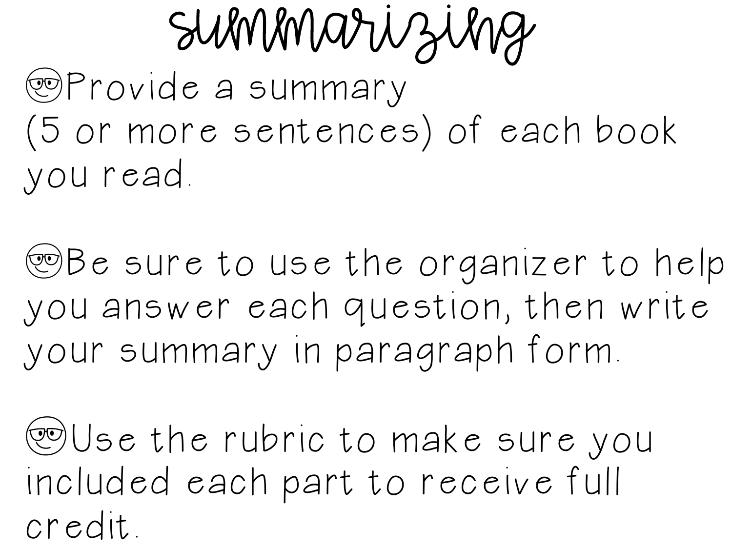Summarizing

yProvide a summary (5 or more sentences) of each book you read.

**WBe sure to use the organizer to help** you answer each question, then write your summary in paragraph form.

yUse the rubric to make sure you included each part to receive full credit.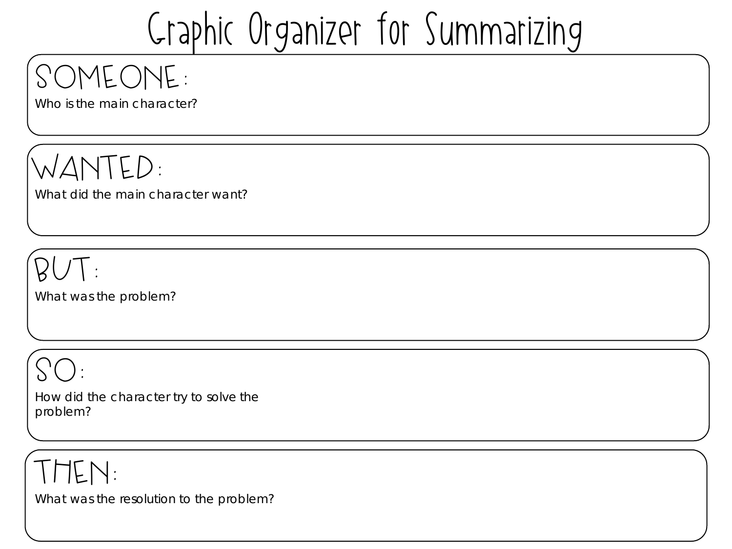# Graphic Organizer for Summarizing

## Someone:

Who is the main character?

wanted:

What did the main character want?

 $BUT$ :

What was the problem?

So:

How did the character try to solve the problem?

### then:

What was the resolution to the problem?